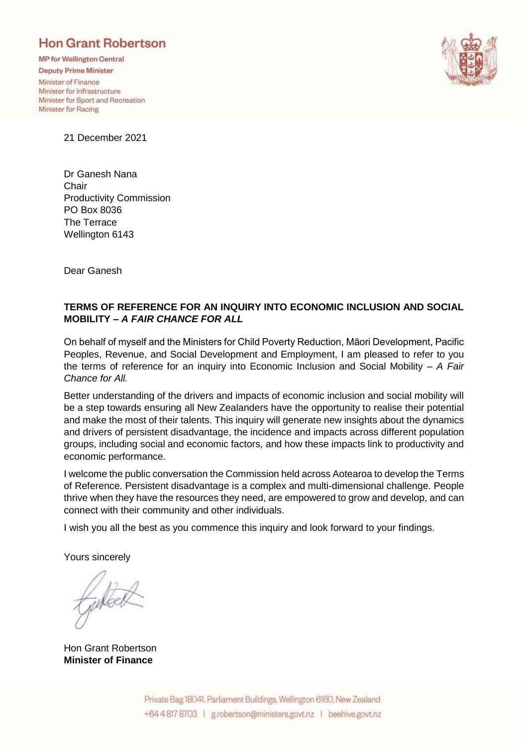# **Hon Grant Robertson**

**MP** for Wellington Central

**Deputy Prime Minister** Minister of Finance Minister for Infrastructure Minister for Sport and Recreation Minister for Racing



21 December 2021

Dr Ganesh Nana **Chair** Productivity Commission PO Box 8036 The Terrace Wellington 6143

Dear Ganesh

## **TERMS OF REFERENCE FOR AN INQUIRY INTO ECONOMIC INCLUSION AND SOCIAL MOBILITY –** *A FAIR CHANCE FOR ALL*

On behalf of myself and the Ministers for Child Poverty Reduction, Māori Development, Pacific Peoples, Revenue, and Social Development and Employment, I am pleased to refer to you the terms of reference for an inquiry into Economic Inclusion and Social Mobility – *A Fair Chance for All.*

Better understanding of the drivers and impacts of economic inclusion and social mobility will be a step towards ensuring all New Zealanders have the opportunity to realise their potential and make the most of their talents. This inquiry will generate new insights about the dynamics and drivers of persistent disadvantage, the incidence and impacts across different population groups, including social and economic factors, and how these impacts link to productivity and economic performance.

I welcome the public conversation the Commission held across Aotearoa to develop the Terms of Reference. Persistent disadvantage is a complex and multi-dimensional challenge. People thrive when they have the resources they need, are empowered to grow and develop, and can connect with their community and other individuals.

I wish you all the best as you commence this inquiry and look forward to your findings.

Yours sincerely

Hon Grant Robertson **Minister of Finance**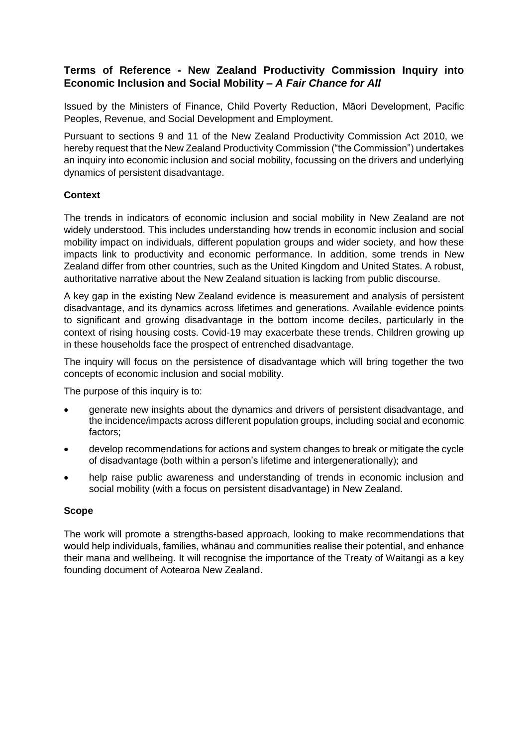# **Terms of Reference - New Zealand Productivity Commission Inquiry into Economic Inclusion and Social Mobility –** *A Fair Chance for All*

Issued by the Ministers of Finance, Child Poverty Reduction, Māori Development, Pacific Peoples, Revenue, and Social Development and Employment.

Pursuant to sections 9 and 11 of the New Zealand Productivity Commission Act 2010, we hereby request that the New Zealand Productivity Commission ("the Commission") undertakes an inquiry into economic inclusion and social mobility, focussing on the drivers and underlying dynamics of persistent disadvantage.

## **Context**

The trends in indicators of economic inclusion and social mobility in New Zealand are not widely understood. This includes understanding how trends in economic inclusion and social mobility impact on individuals, different population groups and wider society, and how these impacts link to productivity and economic performance. In addition, some trends in New Zealand differ from other countries, such as the United Kingdom and United States. A robust, authoritative narrative about the New Zealand situation is lacking from public discourse.

A key gap in the existing New Zealand evidence is measurement and analysis of persistent disadvantage, and its dynamics across lifetimes and generations. Available evidence points to significant and growing disadvantage in the bottom income deciles, particularly in the context of rising housing costs. Covid-19 may exacerbate these trends. Children growing up in these households face the prospect of entrenched disadvantage.

The inquiry will focus on the persistence of disadvantage which will bring together the two concepts of economic inclusion and social mobility.

The purpose of this inquiry is to:

- generate new insights about the dynamics and drivers of persistent disadvantage, and the incidence/impacts across different population groups, including social and economic factors;
- develop recommendations for actions and system changes to break or mitigate the cycle of disadvantage (both within a person's lifetime and intergenerationally); and
- help raise public awareness and understanding of trends in economic inclusion and social mobility (with a focus on persistent disadvantage) in New Zealand.

#### **Scope**

The work will promote a strengths-based approach, looking to make recommendations that would help individuals, families, whānau and communities realise their potential, and enhance their mana and wellbeing. It will recognise the importance of the Treaty of Waitangi as a key founding document of Aotearoa New Zealand.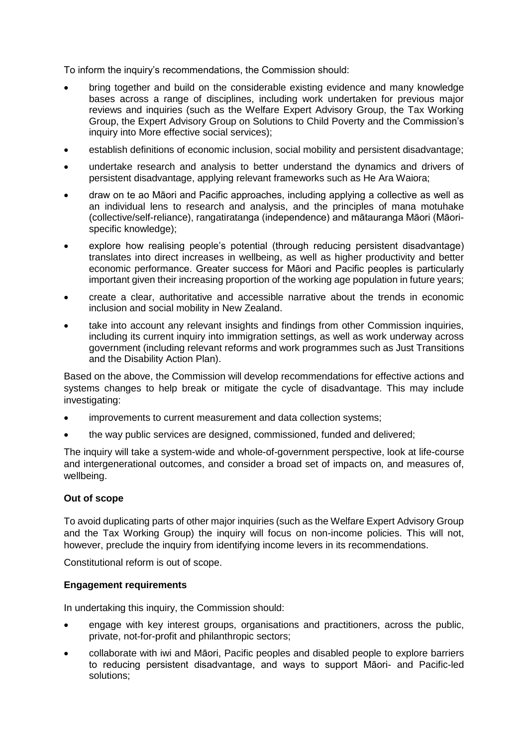To inform the inquiry's recommendations, the Commission should:

- bring together and build on the considerable existing evidence and many knowledge bases across a range of disciplines, including work undertaken for previous major reviews and inquiries (such as the Welfare Expert Advisory Group, the Tax Working Group, the Expert Advisory Group on Solutions to Child Poverty and the Commission's inquiry into More effective social services):
- establish definitions of economic inclusion, social mobility and persistent disadvantage;
- undertake research and analysis to better understand the dynamics and drivers of persistent disadvantage, applying relevant frameworks such as He Ara Waiora;
- draw on te ao Māori and Pacific approaches, including applying a collective as well as an individual lens to research and analysis, and the principles of mana motuhake (collective/self-reliance), rangatiratanga (independence) and mātauranga Māori (Māorispecific knowledge);
- explore how realising people's potential (through reducing persistent disadvantage) translates into direct increases in wellbeing, as well as higher productivity and better economic performance. Greater success for Māori and Pacific peoples is particularly important given their increasing proportion of the working age population in future years;
- create a clear, authoritative and accessible narrative about the trends in economic inclusion and social mobility in New Zealand.
- take into account any relevant insights and findings from other Commission inquiries, including its current inquiry into immigration settings, as well as work underway across government (including relevant reforms and work programmes such as Just Transitions and the Disability Action Plan).

Based on the above, the Commission will develop recommendations for effective actions and systems changes to help break or mitigate the cycle of disadvantage. This may include investigating:

- improvements to current measurement and data collection systems;
- the way public services are designed, commissioned, funded and delivered;

The inquiry will take a system-wide and whole-of-government perspective, look at life-course and intergenerational outcomes, and consider a broad set of impacts on, and measures of, wellbeing.

#### **Out of scope**

To avoid duplicating parts of other major inquiries (such as the Welfare Expert Advisory Group and the Tax Working Group) the inquiry will focus on non-income policies. This will not, however, preclude the inquiry from identifying income levers in its recommendations.

Constitutional reform is out of scope.

#### **Engagement requirements**

In undertaking this inquiry, the Commission should:

- engage with key interest groups, organisations and practitioners, across the public, private, not-for-profit and philanthropic sectors;
- collaborate with iwi and Māori, Pacific peoples and disabled people to explore barriers to reducing persistent disadvantage, and ways to support Māori- and Pacific-led solutions;